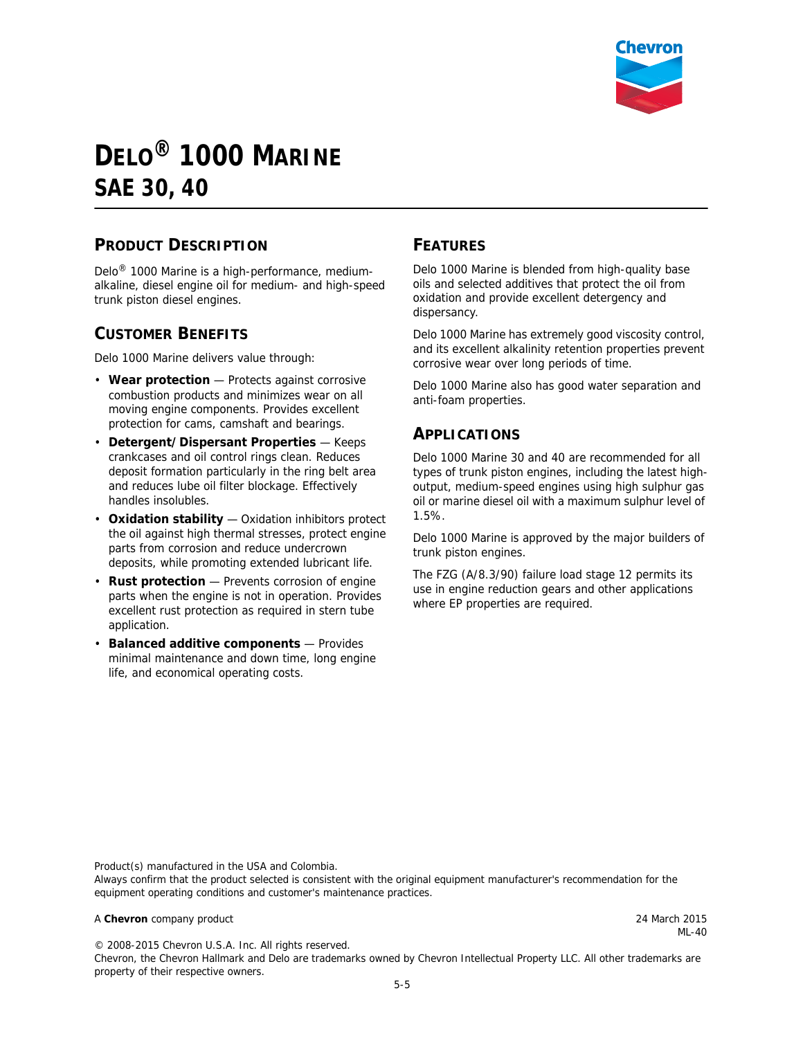

# **DELO® 1000 MARINE SAE 30, 40**

### **PRODUCT DESCRIPTION**

Delo® 1000 Marine is a high-performance, mediumalkaline, diesel engine oil for medium- and high-speed trunk piston diesel engines.

#### **CUSTOMER BENEFITS**

Delo 1000 Marine delivers value through:

- **Wear protection** Protects against corrosive combustion products and minimizes wear on all moving engine components. Provides excellent protection for cams, camshaft and bearings.
- **Detergent/Dispersant Properties** Keeps crankcases and oil control rings clean. Reduces deposit formation particularly in the ring belt area and reduces lube oil filter blockage. Effectively handles insolubles.
- **Oxidation stability** Oxidation inhibitors protect the oil against high thermal stresses, protect engine parts from corrosion and reduce undercrown deposits, while promoting extended lubricant life.
- **Rust protection** Prevents corrosion of engine parts when the engine is not in operation. Provides excellent rust protection as required in stern tube application.
- **Balanced additive components** Provides minimal maintenance and down time, long engine life, and economical operating costs.

#### **FEATURES**

Delo 1000 Marine is blended from high-quality base oils and selected additives that protect the oil from oxidation and provide excellent detergency and dispersancy.

Delo 1000 Marine has extremely good viscosity control, and its excellent alkalinity retention properties prevent corrosive wear over long periods of time.

Delo 1000 Marine also has good water separation and anti-foam properties.

#### **APPLICATIONS**

Delo 1000 Marine 30 and 40 are recommended for all types of trunk piston engines, including the latest highoutput, medium-speed engines using high sulphur gas oil or marine diesel oil with a maximum sulphur level of 1.5%.

Delo 1000 Marine is approved by the major builders of trunk piston engines.

The FZG (A/8.3/90) failure load stage 12 permits its use in engine reduction gears and other applications where EP properties are required.

Product(s) manufactured in the USA and Colombia.

Always confirm that the product selected is consistent with the original equipment manufacturer's recommendation for the equipment operating conditions and customer's maintenance practices.

#### A **Chevron** company product 24 March 2015

ML-40

© 2008-2015 Chevron U.S.A. Inc. All rights reserved. Chevron, the Chevron Hallmark and Delo are trademarks owned by Chevron Intellectual Property LLC. All other trademarks are property of their respective owners.